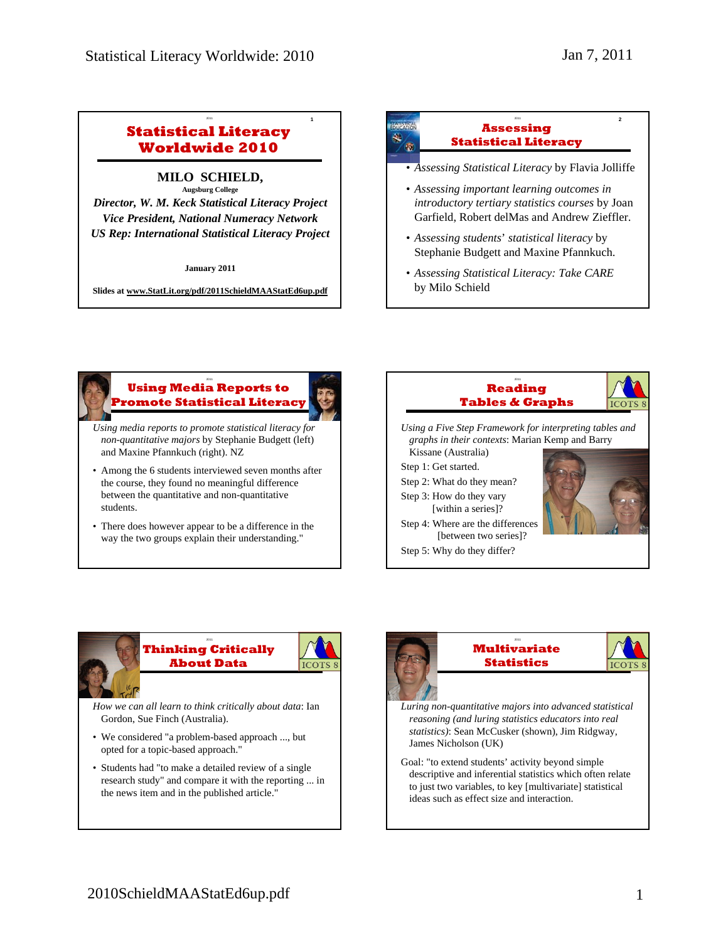### **Statistical Literacy Worldwide 2010**

<sup>2011</sup> **1**

## **MILO SCHIELD,**

**Augsburg College**  *Director, W. M. Keck Statistical Literacy Project Vice President, National Numeracy Network US Rep: International Statistical Literacy Project*

**January 2011**

**Slides at www.StatLit.org/pdf/2011SchieldMAAStatEd6up.pdf**





#### <sup>2011</sup> **3 Using Media Reports to Promote Statistical Literacy**

- *Using media reports to promote statistical literacy for non-quantitative majors* by Stephanie Budgett (left) and Maxine Pfannkuch (right). NZ
- Among the 6 students interviewed seven months after the course, they found no meaningful difference between the quantitative and non-quantitative students.
- There does however appear to be a difference in the way the two groups explain their understanding."





*How we can all learn to think critically about data*: Ian Gordon, Sue Finch (Australia).

- We considered "a problem-based approach ..., but opted for a topic-based approach."
- Students had "to make a detailed review of a single research study" and compare it with the reporting ... in the news item and in the published article."





- *Luring non-quantitative majors into advanced statistical reasoning (and luring statistics educators into real statistics)*: Sean McCusker (shown), Jim Ridgway, James Nicholson (UK)
- Goal: "to extend students' activity beyond simple descriptive and inferential statistics which often relate to just two variables, to key [multivariate] statistical ideas such as effect size and interaction.